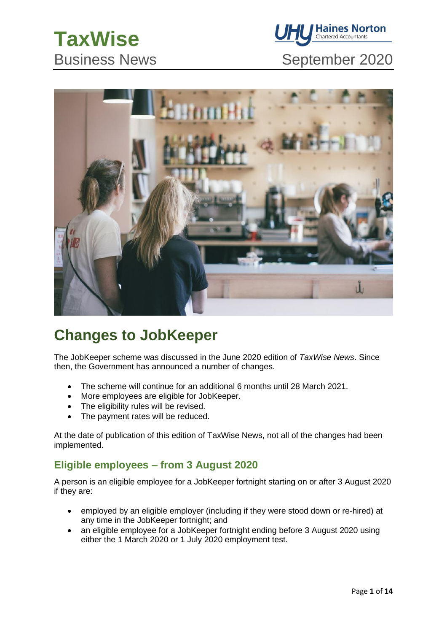

# Business News September 2020



# **Changes to JobKeeper**

The JobKeeper scheme was discussed in the June 2020 edition of *TaxWise News*. Since then, the Government has announced a number of changes.

- The scheme will continue for an additional 6 months until 28 March 2021.
- More employees are eligible for JobKeeper.
- The eligibility rules will be revised.
- The payment rates will be reduced.

At the date of publication of this edition of TaxWise News, not all of the changes had been implemented.

## **Eligible employees – from 3 August 2020**

A person is an eligible employee for a JobKeeper fortnight starting on or after 3 August 2020 if they are:

- employed by an eligible employer (including if they were stood down or re-hired) at any time in the JobKeeper fortnight; and
- an eligible employee for a JobKeeper fortnight ending before 3 August 2020 using either the 1 March 2020 or 1 July 2020 employment test.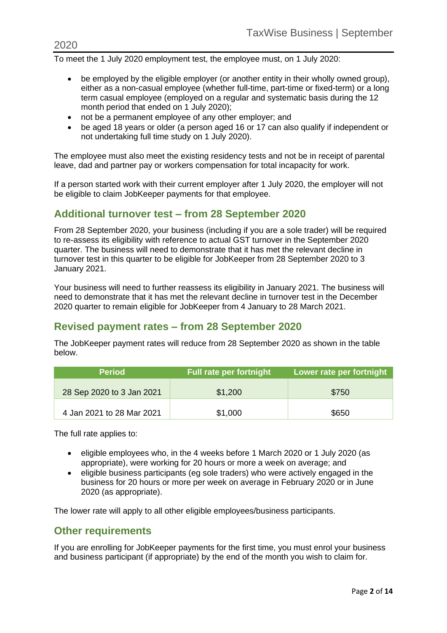To meet the 1 July 2020 employment test, the employee must, on 1 July 2020:

- be employed by the eligible employer (or another entity in their wholly owned group), either as a non-casual employee (whether full-time, part-time or fixed-term) or a long term casual employee (employed on a regular and systematic basis during the 12 month period that ended on 1 July 2020);
- not be a permanent employee of any other employer; and
- be aged 18 years or older (a person aged 16 or 17 can also qualify if independent or not undertaking full time study on 1 July 2020).

The employee must also meet the existing residency tests and not be in receipt of parental leave, dad and partner pay or workers compensation for total incapacity for work.

If a person started work with their current employer after 1 July 2020, the employer will not be eligible to claim JobKeeper payments for that employee.

## **Additional turnover test – from 28 September 2020**

From 28 September 2020, your business (including if you are a sole trader) will be required to re-assess its eligibility with reference to actual GST turnover in the September 2020 quarter. The business will need to demonstrate that it has met the relevant decline in turnover test in this quarter to be eligible for JobKeeper from 28 September 2020 to 3 January 2021.

Your business will need to further reassess its eligibility in January 2021. The business will need to demonstrate that it has met the relevant decline in turnover test in the December 2020 quarter to remain eligible for JobKeeper from 4 January to 28 March 2021.

## **Revised payment rates – from 28 September 2020**

The JobKeeper payment rates will reduce from 28 September 2020 as shown in the table below.

| <b>Period</b>             | <b>Full rate per fortnight</b> | Lower rate per fortnight |
|---------------------------|--------------------------------|--------------------------|
| 28 Sep 2020 to 3 Jan 2021 | \$1,200                        | \$750                    |
| 4 Jan 2021 to 28 Mar 2021 | \$1,000                        | \$650                    |

The full rate applies to:

- eligible employees who, in the 4 weeks before 1 March 2020 or 1 July 2020 (as appropriate), were working for 20 hours or more a week on average; and
- eligible business participants (eg sole traders) who were actively engaged in the business for 20 hours or more per week on average in February 2020 or in June 2020 (as appropriate).

The lower rate will apply to all other eligible employees/business participants.

### **Other requirements**

If you are enrolling for JobKeeper payments for the first time, you must enrol your business and business participant (if appropriate) by the end of the month you wish to claim for.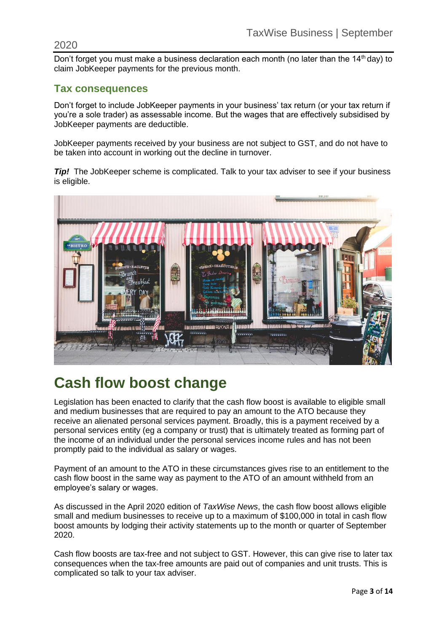### 2020

Don't forget you must make a business declaration each month (no later than the  $14<sup>th</sup>$  day) to claim JobKeeper payments for the previous month.

## **Tax consequences**

Don't forget to include JobKeeper payments in your business' tax return (or your tax return if you're a sole trader) as assessable income. But the wages that are effectively subsidised by JobKeeper payments are deductible.

JobKeeper payments received by your business are not subject to GST, and do not have to be taken into account in working out the decline in turnover.

*Tip!* The JobKeeper scheme is complicated. Talk to your tax adviser to see if your business is eligible.



# **Cash flow boost change**

Legislation has been enacted to clarify that the cash flow boost is available to eligible small and medium businesses that are required to pay an amount to the ATO because they receive an alienated personal services payment. Broadly, this is a payment received by a personal services entity (eg a company or trust) that is ultimately treated as forming part of the income of an individual under the personal services income rules and has not been promptly paid to the individual as salary or wages.

Payment of an amount to the ATO in these circumstances gives rise to an entitlement to the cash flow boost in the same way as payment to the ATO of an amount withheld from an employee's salary or wages.

As discussed in the April 2020 edition of *TaxWise News*, the cash flow boost allows eligible small and medium businesses to receive up to a maximum of \$100,000 in total in cash flow boost amounts by lodging their activity statements up to the month or quarter of September 2020.

Cash flow boosts are tax-free and not subject to GST. However, this can give rise to later tax consequences when the tax-free amounts are paid out of companies and unit trusts. This is complicated so talk to your tax adviser.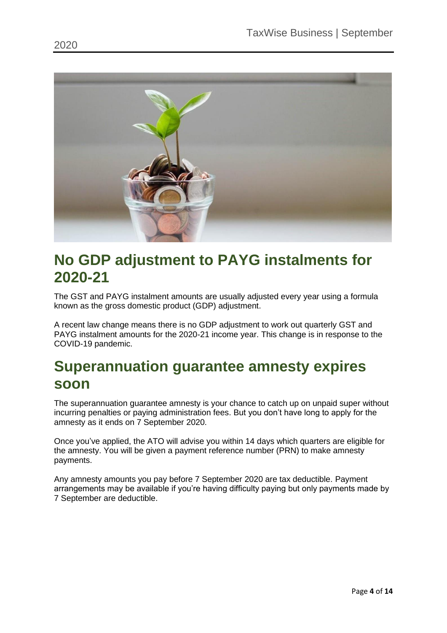

# **No GDP adjustment to PAYG instalments for 2020-21**

The GST and PAYG instalment amounts are usually adjusted every year using a formula known as the gross domestic product (GDP) adjustment.

A recent law change means there is no GDP adjustment to work out quarterly GST and PAYG instalment amounts for the 2020-21 income year. This change is in response to the COVID-19 pandemic.

# **Superannuation guarantee amnesty expires soon**

The superannuation guarantee amnesty is your chance to catch up on unpaid super without incurring penalties or paying administration fees. But you don't have long to apply for the amnesty as it ends on 7 September 2020.

Once you've applied, the ATO will advise you within 14 days which quarters are eligible for the amnesty. You will be given a payment reference number (PRN) to make amnesty payments.

Any amnesty amounts you pay before 7 September 2020 are tax deductible. Payment arrangements may be available if you're having difficulty paying but only payments made by 7 September are deductible.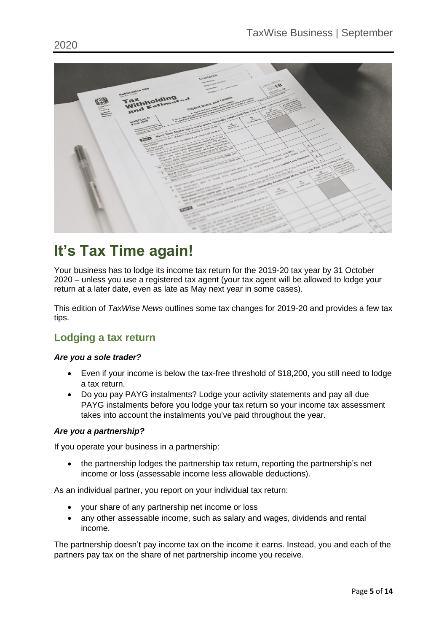

# **It's Tax Time again!**

Your business has to lodge its income tax return for the 2019-20 tax year by 31 October 2020 – unless you use a registered tax agent (your tax agent will be allowed to lodge your return at a later date, even as late as May next year in some cases).

This edition of *TaxWise News* outlines some tax changes for 2019-20 and provides a few tax tips.

# **Lodging a tax return**

## *Are you a sole trader?*

- Even if your income is below the tax-free threshold of \$18,200, you still need to lodge a tax return.
- Do you pay PAYG instalments? Lodge your activity statements and pay all due PAYG instalments before you lodge your tax return so your income tax assessment takes into account the instalments you've paid throughout the year.

## *Are you a partnership?*

If you operate your business in a partnership:

• the partnership lodges the partnership tax return, reporting the partnership's net income or loss (assessable income less allowable deductions).

As an individual partner, you report on your individual tax return:

- your share of any partnership net income or loss
- any other assessable income, such as salary and wages, dividends and rental income.

The partnership doesn't pay income tax on the income it earns. Instead, you and each of the partners pay tax on the share of net partnership income you receive.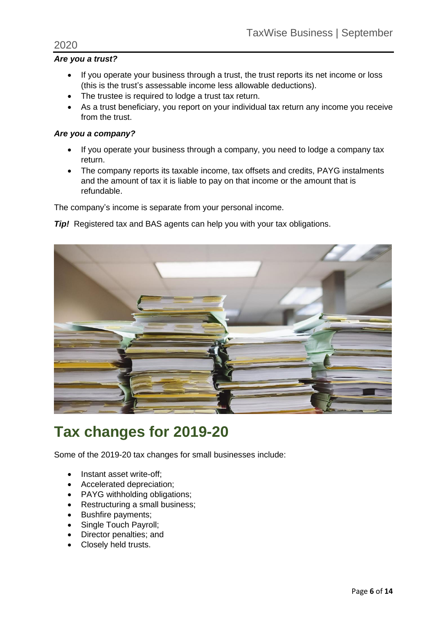#### *Are you a trust?*

- If you operate your business through a trust, the trust reports its net income or loss (this is the trust's assessable income less allowable deductions).
- The trustee is required to lodge a trust tax return.
- As a trust beneficiary, you report on your individual tax return any income you receive from the trust.

#### *Are you a company?*

- If you operate your business through a company, you need to lodge a company tax return.
- The company reports its taxable income, tax offsets and credits, PAYG instalments and the amount of tax it is liable to pay on that income or the amount that is refundable.

The company's income is separate from your personal income.

*Tip!* Registered tax and BAS agents can help you with your tax obligations.



# **Tax changes for 2019-20**

Some of the 2019-20 tax changes for small businesses include:

- Instant asset write-off;
- Accelerated depreciation;
- PAYG withholding obligations;
- Restructuring a small business;
- Bushfire payments;
- Single Touch Payroll;
- Director penalties; and
- Closely held trusts.

2020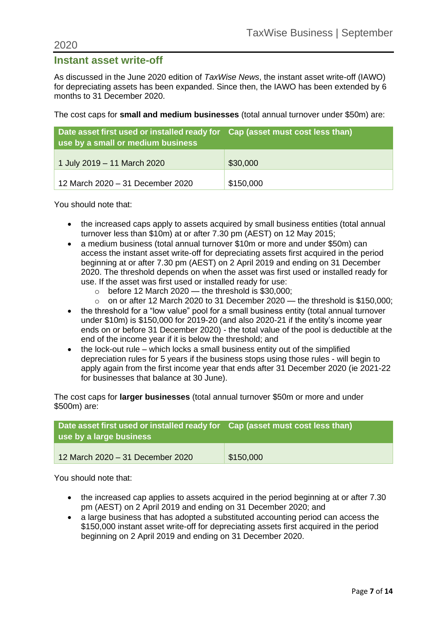### 2020

### **Instant asset write-off**

As discussed in the June 2020 edition of *TaxWise News*, the instant asset write-off (IAWO) for depreciating assets has been expanded. Since then, the IAWO has been extended by 6 months to 31 December 2020.

The cost caps for **small and medium businesses** (total annual turnover under \$50m) are:

| Date asset first used or installed ready for Cap (asset must cost less than)<br>use by a small or medium business |           |  |
|-------------------------------------------------------------------------------------------------------------------|-----------|--|
| 1 July 2019 - 11 March 2020                                                                                       | \$30,000  |  |
| 12 March 2020 - 31 December 2020                                                                                  | \$150,000 |  |

You should note that:

- the increased caps apply to assets acquired by small business entities (total annual turnover less than \$10m) at or after 7.30 pm (AEST) on 12 May 2015;
- a medium business (total annual turnover \$10m or more and under \$50m) can access the instant asset write-off for depreciating assets first acquired in the period beginning at or after 7.30 pm (AEST) on 2 April 2019 and ending on 31 December 2020. The threshold depends on when the asset was first used or installed ready for use. If the asset was first used or installed ready for use:
	- $\circ$  before 12 March 2020 the threshold is \$30,000;
	- $\circ$  on or after 12 March 2020 to 31 December 2020 the threshold is \$150,000;
- the threshold for a "low value" pool for a small business entity (total annual turnover under \$10m) is \$150,000 for 2019-20 (and also 2020-21 if the entity's income year ends on or before 31 December 2020) - the total value of the pool is deductible at the end of the income year if it is below the threshold; and
- the lock-out rule which locks a small business entity out of the simplified depreciation rules for 5 years if the business stops using those rules - will begin to apply again from the first income year that ends after 31 December 2020 (ie 2021-22 for businesses that balance at 30 June).

The cost caps for **larger businesses** (total annual turnover \$50m or more and under \$500m) are:

| Date asset first used or installed ready for Cap (asset must cost less than)<br>use by a large business |           |  |
|---------------------------------------------------------------------------------------------------------|-----------|--|
| 12 March 2020 - 31 December 2020                                                                        | \$150,000 |  |

You should note that:

- the increased cap applies to assets acquired in the period beginning at or after 7.30 pm (AEST) on 2 April 2019 and ending on 31 December 2020; and
- a large business that has adopted a substituted accounting period can access the \$150,000 instant asset write-off for depreciating assets first acquired in the period beginning on 2 April 2019 and ending on 31 December 2020.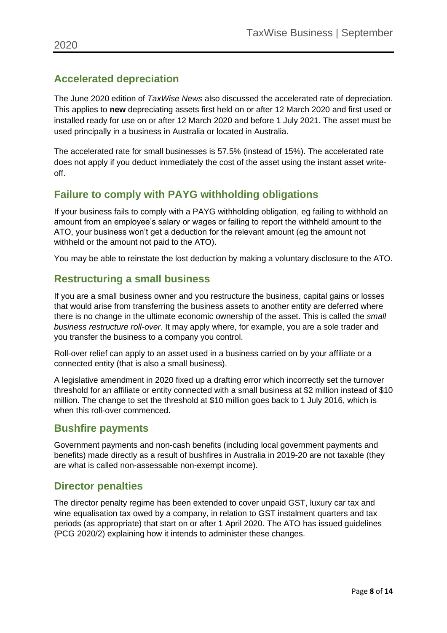# **Accelerated depreciation**

The June 2020 edition of *TaxWise News* also discussed the accelerated rate of depreciation. This applies to **new** depreciating assets first held on or after 12 March 2020 and first used or installed ready for use on or after 12 March 2020 and before 1 July 2021. The asset must be used principally in a business in Australia or located in Australia.

The accelerated rate for small businesses is 57.5% (instead of 15%). The accelerated rate does not apply if you deduct immediately the cost of the asset using the instant asset writeoff.

# **Failure to comply with PAYG withholding obligations**

If your business fails to comply with a PAYG withholding obligation, eg failing to withhold an amount from an employee's salary or wages or failing to report the withheld amount to the ATO, your business won't get a deduction for the relevant amount (eg the amount not withheld or the amount not paid to the ATO).

You may be able to reinstate the lost deduction by making a voluntary disclosure to the ATO.

## **Restructuring a small business**

If you are a small business owner and you restructure the business, capital gains or losses that would arise from transferring the business assets to another entity are deferred where there is no change in the ultimate economic ownership of the asset. This is called the *small business restructure roll-over*. It may apply where, for example, you are a sole trader and you transfer the business to a company you control.

Roll-over relief can apply to an asset used in a business carried on by your affiliate or a connected entity (that is also a small business).

A legislative amendment in 2020 fixed up a drafting error which incorrectly set the turnover threshold for an affiliate or entity connected with a small business at \$2 million instead of \$10 million. The change to set the threshold at \$10 million goes back to 1 July 2016, which is when this roll-over commenced.

## **Bushfire payments**

Government payments and non-cash benefits (including local government payments and benefits) made directly as a result of bushfires in Australia in 2019-20 are not taxable (they are what is called non-assessable non-exempt income).

## **Director penalties**

The director penalty regime has been extended to cover unpaid GST, luxury car tax and wine equalisation tax owed by a company, in relation to GST instalment quarters and tax periods (as appropriate) that start on or after 1 April 2020. The ATO has issued guidelines (PCG 2020/2) explaining how it intends to administer these changes.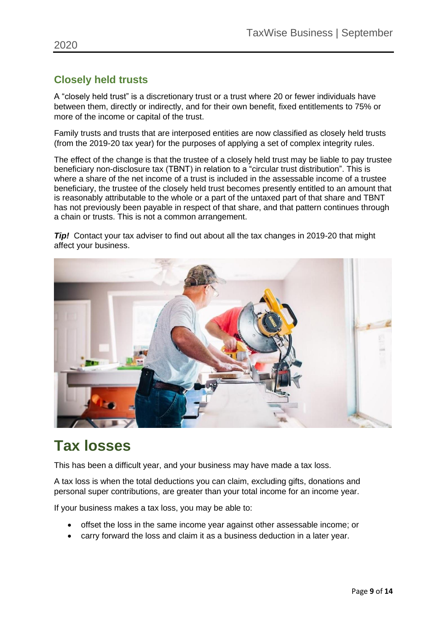# **Closely held trusts**

A "closely held trust" is a discretionary trust or a trust where 20 or fewer individuals have between them, directly or indirectly, and for their own benefit, fixed entitlements to 75% or more of the income or capital of the trust.

Family trusts and trusts that are interposed entities are now classified as closely held trusts (from the 2019-20 tax year) for the purposes of applying a set of complex integrity rules.

The effect of the change is that the trustee of a closely held trust may be liable to pay trustee beneficiary non-disclosure tax (TBNT) in relation to a "circular trust distribution". This is where a share of the net income of a trust is included in the assessable income of a trustee beneficiary, the trustee of the closely held trust becomes presently entitled to an amount that is reasonably attributable to the whole or a part of the untaxed part of that share and TBNT has not previously been payable in respect of that share, and that pattern continues through a chain or trusts. This is not a common arrangement.

*Tip!* Contact your tax adviser to find out about all the tax changes in 2019-20 that might affect your business.



# **Tax losses**

This has been a difficult year, and your business may have made a tax loss.

A tax loss is when the total deductions you can claim, excluding gifts, donations and personal super contributions, are greater than your total income for an income year.

If your business makes a tax loss, you may be able to:

- offset the loss in the same income year against other assessable income; or
- carry forward the loss and claim it as a business deduction in a later year.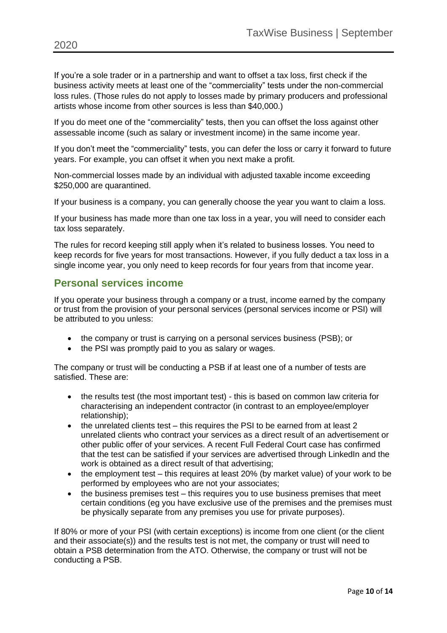If you're a sole trader or in a partnership and want to offset a tax loss, first check if the business activity meets at least one of the "commerciality" tests under the non-commercial loss rules. (Those rules do not apply to losses made by primary producers and professional artists whose income from other sources is less than \$40,000.)

If you do meet one of the "commerciality" tests, then you can offset the loss against other assessable income (such as salary or investment income) in the same income year.

If you don't meet the "commerciality" tests, you can defer the loss or carry it forward to future years. For example, you can offset it when you next make a profit.

Non-commercial losses made by an individual with adjusted taxable income exceeding \$250,000 are quarantined.

If your business is a company, you can generally choose the year you want to claim a loss.

If your business has made more than one tax loss in a year, you will need to consider each tax loss separately.

The rules for record keeping still apply when it's related to business losses. You need to keep records for five years for most transactions. However, if you fully deduct a tax loss in a single income year, you only need to keep records for four years from that income year.

### **Personal services income**

If you operate your business through a company or a trust, income earned by the company or trust from the provision of your personal services (personal services income or PSI) will be attributed to you unless:

- the company or trust is carrying on a personal services business (PSB); or
- the PSI was promptly paid to you as salary or wages.

The company or trust will be conducting a PSB if at least one of a number of tests are satisfied. These are:

- the results test (the most important test) this is based on common law criteria for characterising an independent contractor (in contrast to an employee/employer relationship);
- the unrelated clients test this requires the PSI to be earned from at least 2 unrelated clients who contract your services as a direct result of an advertisement or other public offer of your services. A recent Full Federal Court case has confirmed that the test can be satisfied if your services are advertised through LinkedIn and the work is obtained as a direct result of that advertising;
- the employment test this requires at least 20% (by market value) of your work to be performed by employees who are not your associates;
- the business premises test this requires you to use business premises that meet certain conditions (eg you have exclusive use of the premises and the premises must be physically separate from any premises you use for private purposes).

If 80% or more of your PSI (with certain exceptions) is income from one client (or the client and their associate(s)) and the results test is not met, the company or trust will need to obtain a PSB determination from the ATO. Otherwise, the company or trust will not be conducting a PSB.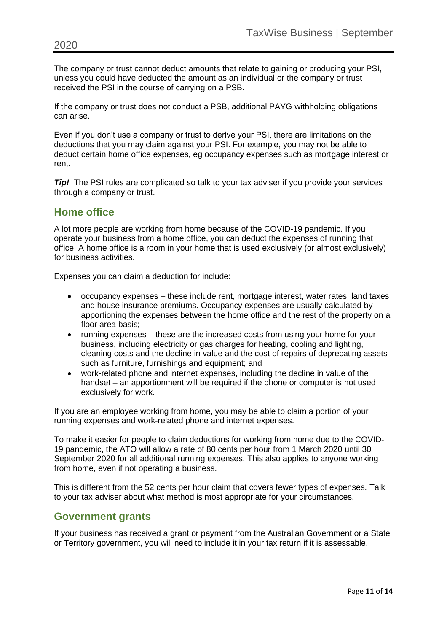The company or trust cannot deduct amounts that relate to gaining or producing your PSI, unless you could have deducted the amount as an individual or the company or trust received the PSI in the course of carrying on a PSB.

If the company or trust does not conduct a PSB, additional PAYG withholding obligations can arise.

Even if you don't use a company or trust to derive your PSI, there are limitations on the deductions that you may claim against your PSI. For example, you may not be able to deduct certain home office expenses, eg occupancy expenses such as mortgage interest or rent.

*Tip!* The PSI rules are complicated so talk to your tax adviser if you provide your services through a company or trust.

### **Home office**

A lot more people are working from home because of the COVID-19 pandemic. If you operate your business from a home office, you can deduct the expenses of running that office. A home office is a room in your home that is used exclusively (or almost exclusively) for business activities.

Expenses you can claim a deduction for include:

- occupancy expenses these include rent, mortgage interest, water rates, land taxes and house insurance premiums. Occupancy expenses are usually calculated by apportioning the expenses between the home office and the rest of the property on a floor area basis;
- running expenses these are the increased costs from using your home for your business, including electricity or gas charges for heating, cooling and lighting, cleaning costs and the decline in value and the cost of repairs of deprecating assets such as furniture, furnishings and equipment; and
- work-related phone and internet expenses, including the decline in value of the handset – an apportionment will be required if the phone or computer is not used exclusively for work.

If you are an employee working from home, you may be able to claim a portion of your running expenses and work-related phone and internet expenses.

To make it easier for people to claim deductions for working from home due to the COVID-19 pandemic, the ATO will allow a rate of 80 cents per hour from 1 March 2020 until 30 September 2020 for all additional running expenses. This also applies to anyone working from home, even if not operating a business.

This is different from the 52 cents per hour claim that covers fewer types of expenses. Talk to your tax adviser about what method is most appropriate for your circumstances.

### **Government grants**

If your business has received a grant or payment from the Australian Government or a State or Territory government, you will need to include it in your tax return if it is assessable.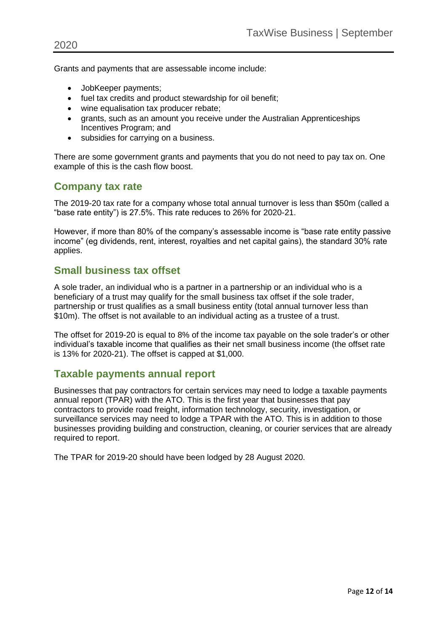Grants and payments that are assessable income include:

- JobKeeper payments;
- fuel tax credits and product stewardship for oil benefit;
- wine equalisation tax producer rebate;
- grants, such as an amount you receive under the Australian Apprenticeships Incentives Program; and
- subsidies for carrying on a business.

There are some government grants and payments that you do not need to pay tax on. One example of this is the cash flow boost.

## **Company tax rate**

The 2019-20 tax rate for a company whose total annual turnover is less than \$50m (called a "base rate entity") is 27.5%. This rate reduces to 26% for 2020-21.

However, if more than 80% of the company's assessable income is "base rate entity passive income" (eg dividends, rent, interest, royalties and net capital gains), the standard 30% rate applies.

## **Small business tax offset**

A sole trader, an individual who is a partner in a partnership or an individual who is a beneficiary of a trust may qualify for the small business tax offset if the sole trader, partnership or trust qualifies as a small business entity (total annual turnover less than \$10m). The offset is not available to an individual acting as a trustee of a trust.

The offset for 2019-20 is equal to 8% of the income tax payable on the sole trader's or other individual's taxable income that qualifies as their net small business income (the offset rate is 13% for 2020-21). The offset is capped at \$1,000.

### **Taxable payments annual report**

Businesses that pay contractors for certain services may need to lodge a taxable payments annual report (TPAR) with the ATO. This is the first year that businesses that pay contractors to provide road freight, information technology, security, investigation, or surveillance services may need to lodge a TPAR with the ATO. This is in addition to those businesses providing building and construction, cleaning, or courier services that are already required to report.

The TPAR for 2019-20 should have been lodged by 28 August 2020.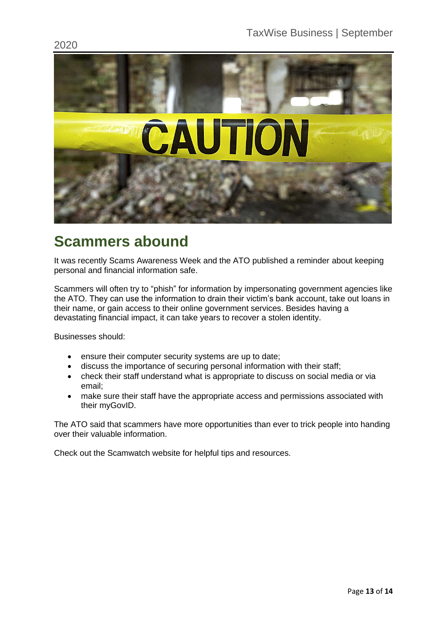

# **Scammers abound**

It was recently Scams Awareness Week and the ATO published a reminder about keeping personal and financial information safe.

Scammers will often try to "phish" for information by impersonating government agencies like the ATO. They can use the information to drain their victim's bank account, take out loans in their name, or gain access to their online government services. Besides having a devastating financial impact, it can take years to recover a stolen identity.

Businesses should:

- ensure their computer security systems are up to date;
- discuss the importance of securing personal information with their staff;
- check their staff understand what is appropriate to discuss on social media or via email;
- make sure their staff have the appropriate access and permissions associated with their myGovID.

The ATO said that scammers have more opportunities than ever to trick people into handing over their valuable information.

Check out the Scamwatch website for helpful tips and resources.